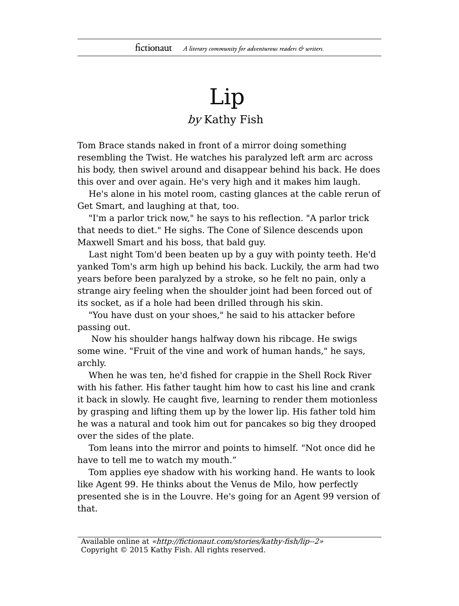## Lip by Kathy Fish

Tom Brace stands naked in front of a mirror doing something resembling the Twist. He watches his paralyzed left arm arc across his body, then swivel around and disappear behind his back. He does this over and over again. He's very high and it makes him laugh.

He's alone in his motel room, casting glances at the cable rerun of Get Smart, and laughing at that, too.

"I'm a parlor trick now," he says to his reflection. "A parlor trick that needs to diet." He sighs. The Cone of Silence descends upon Maxwell Smart and his boss, that bald guy.

Last night Tom'd been beaten up by a guy with pointy teeth. He'd yanked Tom's arm high up behind his back. Luckily, the arm had two years before been paralyzed by a stroke, so he felt no pain, only a strange airy feeling when the shoulder joint had been forced out of its socket, as if a hole had been drilled through his skin.

"You have dust on your shoes," he said to his attacker before passing out.

Now his shoulder hangs halfway down his ribcage. He swigs some wine. "Fruit of the vine and work of human hands," he says, archly.

When he was ten, he'd fished for crappie in the Shell Rock River with his father. His father taught him how to cast his line and crank it back in slowly. He caught five, learning to render them motionless by grasping and lifting them up by the lower lip. His father told him he was a natural and took him out for pancakes so big they drooped over the sides of the plate.

Tom leans into the mirror and points to himself. "Not once did he have to tell me to watch my mouth."

Tom applies eye shadow with his working hand. He wants to look like Agent 99. He thinks about the Venus de Milo, how perfectly presented she is in the Louvre. He's going for an Agent 99 version of that.

Available online at «http://fictionaut.com/stories/kathy-fish/lip--2» Copyright © 2015 Kathy Fish. All rights reserved.